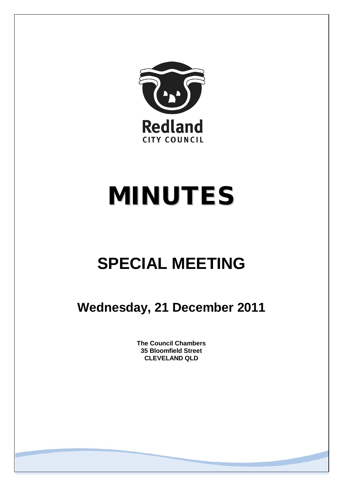

# MINUTES

# **SPECIAL MEETING**

**Wednesday, 21 December 2011**

**The Council Chambers 35 Bloomfield Street CLEVELAND QLD**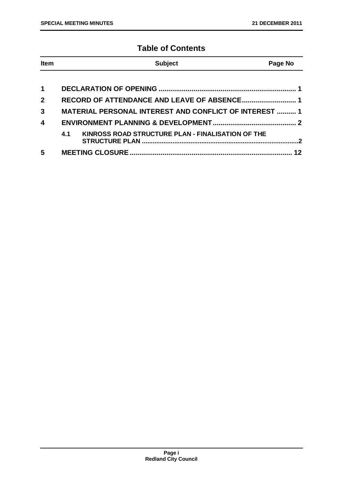# **Table of Contents**

| <b>Item</b>             | <b>Subject</b>                                                | Page No |
|-------------------------|---------------------------------------------------------------|---------|
|                         |                                                               |         |
| $\blacktriangleleft$    |                                                               |         |
| $\overline{2}$          |                                                               |         |
| $\mathbf{3}$            | <b>MATERIAL PERSONAL INTEREST AND CONFLICT OF INTEREST  1</b> |         |
| $\overline{\mathbf{4}}$ |                                                               |         |
|                         | KINROSS ROAD STRUCTURE PLAN - FINALISATION OF THE<br>4.1      | 2       |
| 5                       |                                                               | 12      |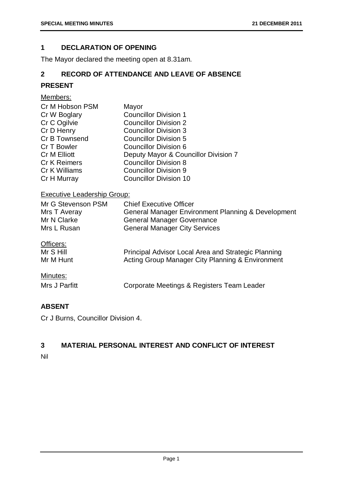#### <span id="page-2-0"></span>**1 DECLARATION OF OPENING**

The Mayor declared the meeting open at 8.31am.

#### <span id="page-2-1"></span>**2 RECORD OF ATTENDANCE AND LEAVE OF ABSENCE**

# **PRESENT**

#### Members:

| Cr M Hobson PSM     | Mayor                                |
|---------------------|--------------------------------------|
| Cr W Boglary        | <b>Councillor Division 1</b>         |
| Cr C Ogilvie        | <b>Councillor Division 2</b>         |
| Cr D Henry          | <b>Councillor Division 3</b>         |
| Cr B Townsend       | <b>Councillor Division 5</b>         |
| Cr T Bowler         | <b>Councillor Division 6</b>         |
| Cr M Elliott        | Deputy Mayor & Councillor Division 7 |
| <b>Cr K Reimers</b> | <b>Councillor Division 8</b>         |
| Cr K Williams       | <b>Councillor Division 9</b>         |
| Cr H Murray         | <b>Councillor Division 10</b>        |

### Executive Leadership Group:

| Mr G Stevenson PSM<br>Mrs T Averay<br>Mr N Clarke | <b>Chief Executive Officer</b><br>General Manager Environment Planning & Development |
|---------------------------------------------------|--------------------------------------------------------------------------------------|
| Mrs L Rusan                                       | <b>General Manager Governance</b><br><b>General Manager City Services</b>            |
| Officers:                                         |                                                                                      |

| Mr S Hill | Principal Advisor Local Area and Strategic Planning |
|-----------|-----------------------------------------------------|
| Mr M Hunt | Acting Group Manager City Planning & Environment    |

#### Minutes:

| Mrs J Parfitt | Corporate Meetings & Registers Team Leader |
|---------------|--------------------------------------------|
|---------------|--------------------------------------------|

#### **ABSENT**

Cr J Burns, Councillor Division 4.

# <span id="page-2-2"></span>**3 MATERIAL PERSONAL INTEREST AND CONFLICT OF INTEREST**

Nil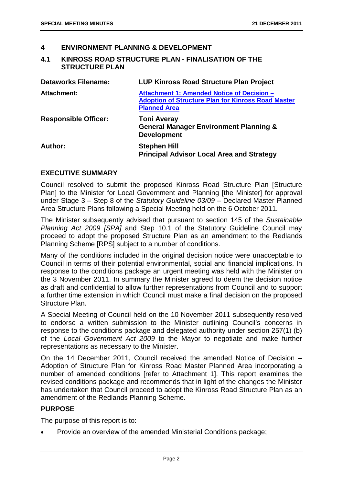#### <span id="page-3-0"></span>**4 ENVIRONMENT PLANNING & DEVELOPMENT**

#### <span id="page-3-1"></span>**4.1 KINROSS ROAD STRUCTURE PLAN - FINALISATION OF THE STRUCTURE PLAN**

| <b>Dataworks Filename:</b>  | <b>LUP Kinross Road Structure Plan Project</b>                                                                                 |
|-----------------------------|--------------------------------------------------------------------------------------------------------------------------------|
| <b>Attachment:</b>          | Attachment 1: Amended Notice of Decision -<br><b>Adoption of Structure Plan for Kinross Road Master</b><br><b>Planned Area</b> |
| <b>Responsible Officer:</b> | <b>Toni Averay</b><br><b>General Manager Environment Planning &amp;</b><br><b>Development</b>                                  |
| Author:                     | <b>Stephen Hill</b><br><b>Principal Advisor Local Area and Strategy</b>                                                        |

#### **EXECUTIVE SUMMARY**

Council resolved to submit the proposed Kinross Road Structure Plan [Structure Plan] to the Minister for Local Government and Planning [the Minister] for approval under Stage 3 – Step 8 of the *Statutory Guideline 03/09* – Declared Master Planned Area Structure Plans following a Special Meeting held on the 6 October 2011.

The Minister subsequently advised that pursuant to section 145 of the *Sustainable Planning Act 2009 [SPA]* and Step 10.1 of the Statutory Guideline Council may proceed to adopt the proposed Structure Plan as an amendment to the Redlands Planning Scheme [RPS] subject to a number of conditions.

Many of the conditions included in the original decision notice were unacceptable to Council in terms of their potential environmental, social and financial implications. In response to the conditions package an urgent meeting was held with the Minister on the 3 November 2011. In summary the Minister agreed to deem the decision notice as draft and confidential to allow further representations from Council and to support a further time extension in which Council must make a final decision on the proposed Structure Plan.

A Special Meeting of Council held on the 10 November 2011 subsequently resolved to endorse a written submission to the Minister outlining Council's concerns in response to the conditions package and delegated authority under section 257(1) (b) of the *Local Government Act 2009* to the Mayor to negotiate and make further representations as necessary to the Minister.

On the 14 December 2011, Council received the amended Notice of Decision – Adoption of Structure Plan for Kinross Road Master Planned Area incorporating a number of amended conditions [refer to Attachment 1]. This report examines the revised conditions package and recommends that in light of the changes the Minister has undertaken that Council proceed to adopt the Kinross Road Structure Plan as an amendment of the Redlands Planning Scheme.

#### **PURPOSE**

The purpose of this report is to:

• Provide an overview of the amended Ministerial Conditions package;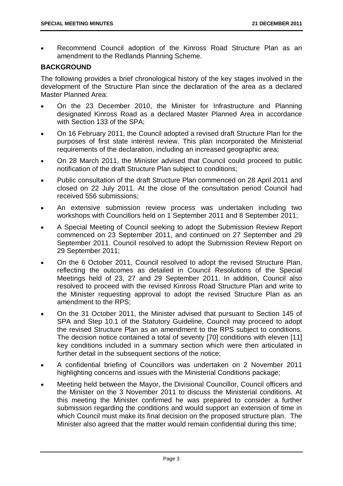• Recommend Council adoption of the Kinross Road Structure Plan as an amendment to the Redlands Planning Scheme.

#### **BACKGROUND**

The following provides a brief chronological history of the key stages involved in the development of the Structure Plan since the declaration of the area as a declared Master Planned Area:

- On the 23 December 2010, the Minister for Infrastructure and Planning designated Kinross Road as a declared Master Planned Area in accordance with Section 133 of the SPA;
- On 16 February 2011, the Council adopted a revised draft Structure Plan for the purposes of first state interest review. This plan incorporated the Ministerial requirements of the declaration, including an increased geographic area;
- On 28 March 2011, the Minister advised that Council could proceed to public notification of the draft Structure Plan subject to conditions;
- Public consultation of the draft Structure Plan commenced on 28 April 2011 and closed on 22 July 2011. At the close of the consultation period Council had received 556 submissions;
- An extensive submission review process was undertaken including two workshops with Councillors held on 1 September 2011 and 8 September 2011;
- A Special Meeting of Council seeking to adopt the Submission Review Report commenced on 23 September 2011, and continued on 27 September and 29 September 2011. Council resolved to adopt the Submission Review Report on 29 September 2011;
- On the 6 October 2011, Council resolved to adopt the revised Structure Plan, reflecting the outcomes as detailed in Council Resolutions of the Special Meetings held of 23, 27 and 29 September 2011. In addition, Council also resolved to proceed with the revised Kinross Road Structure Plan and write to the Minister requesting approval to adopt the revised Structure Plan as an amendment to the RPS;
- On the 31 October 2011, the Minister advised that pursuant to Section 145 of SPA and Step 10.1 of the Statutory Guideline, Council may proceed to adopt the revised Structure Plan as an amendment to the RPS subject to conditions. The decision notice contained a total of seventy [70] conditions with eleven [11] key conditions included in a summary section which were then articulated in further detail in the subsequent sections of the notice;
- A confidential briefing of Councillors was undertaken on 2 November 2011 highlighting concerns and issues with the Ministerial Conditions package;
- Meeting held between the Mayor, the Divisional Councillor, Council officers and the Minister on the 3 November 2011 to discuss the Ministerial conditions. At this meeting the Minister confirmed he was prepared to consider a further submission regarding the conditions and would support an extension of time in which Council must make its final decision on the proposed structure plan. The Minister also agreed that the matter would remain confidential during this time;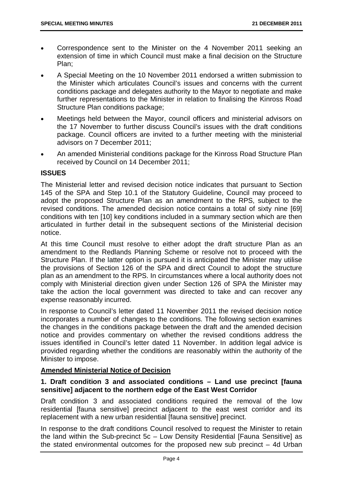- Correspondence sent to the Minister on the 4 November 2011 seeking an extension of time in which Council must make a final decision on the Structure Plan;
- A Special Meeting on the 10 November 2011 endorsed a written submission to the Minister which articulates Council's issues and concerns with the current conditions package and delegates authority to the Mayor to negotiate and make further representations to the Minister in relation to finalising the Kinross Road Structure Plan conditions package;
- Meetings held between the Mayor, council officers and ministerial advisors on the 17 November to further discuss Council's issues with the draft conditions package. Council officers are invited to a further meeting with the ministerial advisors on 7 December 2011;
- An amended Ministerial conditions package for the Kinross Road Structure Plan received by Council on 14 December 2011;

#### **ISSUES**

The Ministerial letter and revised decision notice indicates that pursuant to Section 145 of the SPA and Step 10.1 of the Statutory Guideline, Council may proceed to adopt the proposed Structure Plan as an amendment to the RPS, subject to the revised conditions. The amended decision notice contains a total of sixty nine [69] conditions with ten [10] key conditions included in a summary section which are then articulated in further detail in the subsequent sections of the Ministerial decision notice.

At this time Council must resolve to either adopt the draft structure Plan as an amendment to the Redlands Planning Scheme or resolve not to proceed with the Structure Plan. If the latter option is pursued it is anticipated the Minister may utilise the provisions of Section 126 of the SPA and direct Council to adopt the structure plan as an amendment to the RPS. In circumstances where a local authority does not comply with Ministerial direction given under Section 126 of SPA the Minister may take the action the local government was directed to take and can recover any expense reasonably incurred.

In response to Council's letter dated 11 November 2011 the revised decision notice incorporates a number of changes to the conditions. The following section examines the changes in the conditions package between the draft and the amended decision notice and provides commentary on whether the revised conditions address the issues identified in Council's letter dated 11 November. In addition legal advice is provided regarding whether the conditions are reasonably within the authority of the Minister to impose.

#### **Amended Ministerial Notice of Decision**

#### **1. Draft condition 3 and associated conditions – Land use precinct [fauna sensitive] adjacent to the northern edge of the East West Corridor**

Draft condition 3 and associated conditions required the removal of the low residential [fauna sensitive] precinct adjacent to the east west corridor and its replacement with a new urban residential [fauna sensitive] precinct.

In response to the draft conditions Council resolved to request the Minister to retain the land within the Sub-precinct 5c – Low Density Residential [Fauna Sensitive] as the stated environmental outcomes for the proposed new sub precinct – 4d Urban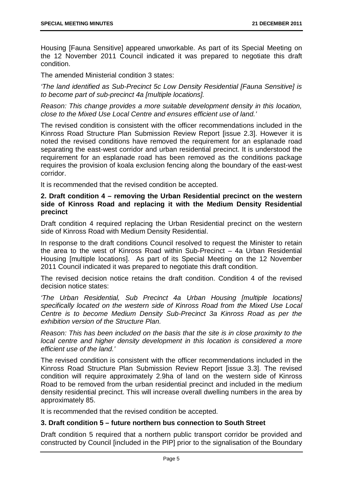Housing [Fauna Sensitive] appeared unworkable. As part of its Special Meeting on the 12 November 2011 Council indicated it was prepared to negotiate this draft condition.

The amended Ministerial condition 3 states:

*'The land identified as Sub-Precinct 5c Low Density Residential [Fauna Sensitive] is to become part of sub-precinct 4a [multiple locations].*

*Reason: This change provides a more suitable development density in this location, close to the Mixed Use Local Centre and ensures efficient use of land.'*

The revised condition is consistent with the officer recommendations included in the Kinross Road Structure Plan Submission Review Report [issue 2.3]. However it is noted the revised conditions have removed the requirement for an esplanade road separating the east-west corridor and urban residential precinct. It is understood the requirement for an esplanade road has been removed as the conditions package requires the provision of koala exclusion fencing along the boundary of the east-west corridor.

It is recommended that the revised condition be accepted.

#### **2. Draft condition 4 – removing the Urban Residential precinct on the western side of Kinross Road and replacing it with the Medium Density Residential precinct**

Draft condition 4 required replacing the Urban Residential precinct on the western side of Kinross Road with Medium Density Residential.

In response to the draft conditions Council resolved to request the Minister to retain the area to the west of Kinross Road within Sub-Precinct – 4a Urban Residential Housing [multiple locations]. As part of its Special Meeting on the 12 November 2011 Council indicated it was prepared to negotiate this draft condition.

The revised decision notice retains the draft condition. Condition 4 of the revised decision notice states:

*'The Urban Residential, Sub Precinct 4a Urban Housing [multiple locations] specifically located on the western side of Kinross Road from the Mixed Use Local Centre is to become Medium Density Sub-Precinct 3a Kinross Road as per the exhibition version of the Structure Plan.*

*Reason: This has been included on the basis that the site is in close proximity to the local centre and higher density development in this location is considered a more efficient use of the land.'*

The revised condition is consistent with the officer recommendations included in the Kinross Road Structure Plan Submission Review Report [issue 3.3]. The revised condition will require approximately 2.9ha of land on the western side of Kinross Road to be removed from the urban residential precinct and included in the medium density residential precinct. This will increase overall dwelling numbers in the area by approximately 85.

It is recommended that the revised condition be accepted.

#### **3. Draft condition 5 – future northern bus connection to South Street**

Draft condition 5 required that a northern public transport corridor be provided and constructed by Council [included in the PIP] prior to the signalisation of the Boundary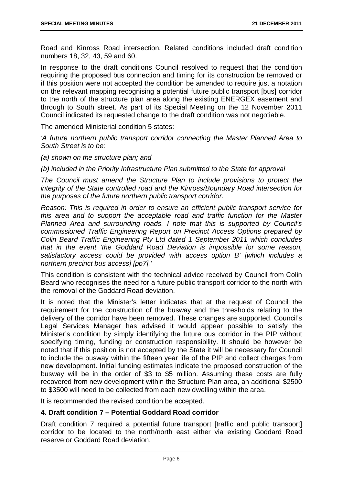Road and Kinross Road intersection. Related conditions included draft condition numbers 18, 32, 43, 59 and 60.

In response to the draft conditions Council resolved to request that the condition requiring the proposed bus connection and timing for its construction be removed or if this position were not accepted the condition be amended to require just a notation on the relevant mapping recognising a potential future public transport [bus] corridor to the north of the structure plan area along the existing ENERGEX easement and through to South street. As part of its Special Meeting on the 12 November 2011 Council indicated its requested change to the draft condition was not negotiable.

The amended Ministerial condition 5 states:

*'A future northern public transport corridor connecting the Master Planned Area to South Street is to be:*

*(a) shown on the structure plan; and*

*(b) included in the Priority Infrastructure Plan submitted to the State for approval*

*The Council must amend the Structure Plan to include provisions to protect the integrity of the State controlled road and the Kinross/Boundary Road intersection for the purposes of the future northern public transport corridor.*

*Reason: This is required in order to ensure an efficient public transport service for this area and to support the acceptable road and traffic function for the Master Planned Area and surrounding roads. I note that this is supported by Council's commissioned Traffic Engineering Report on Precinct Access Options prepared by Colin Beard Traffic Engineering Pty Ltd dated 1 September 2011 which concludes that in the event 'the Goddard Road Deviation is impossible for some reason, satisfactory access could be provided with access option B' [which includes a northern precinct bus access] [pp7].'*

This condition is consistent with the technical advice received by Council from Colin Beard who recognises the need for a future public transport corridor to the north with the removal of the Goddard Road deviation.

It is noted that the Minister's letter indicates that at the request of Council the requirement for the construction of the busway and the thresholds relating to the delivery of the corridor have been removed. These changes are supported. Council's Legal Services Manager has advised it would appear possible to satisfy the Minister's condition by simply identifying the future bus corridor in the PIP without specifying timing, funding or construction responsibility. It should be however be noted that if this position is not accepted by the State it will be necessary for Council to include the busway within the fifteen year life of the PIP and collect charges from new development. Initial funding estimates indicate the proposed construction of the busway will be in the order of \$3 to \$5 million. Assuming these costs are fully recovered from new development within the Structure Plan area, an additional \$2500 to \$3500 will need to be collected from each new dwelling within the area.

It is recommended the revised condition be accepted.

#### **4. Draft condition 7 – Potential Goddard Road corridor**

Draft condition 7 required a potential future transport [traffic and public transport] corridor to be located to the north/north east either via existing Goddard Road reserve or Goddard Road deviation.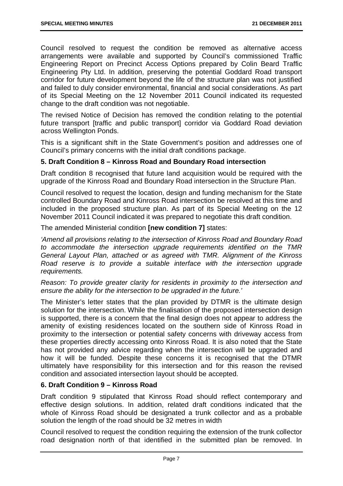Council resolved to request the condition be removed as alternative access arrangements were available and supported by Council's commissioned Traffic Engineering Report on Precinct Access Options prepared by Colin Beard Traffic Engineering Pty Ltd. In addition, preserving the potential Goddard Road transport corridor for future development beyond the life of the structure plan was not justified and failed to duly consider environmental, financial and social considerations. As part of its Special Meeting on the 12 November 2011 Council indicated its requested change to the draft condition was not negotiable.

The revised Notice of Decision has removed the condition relating to the potential future transport [traffic and public transport] corridor via Goddard Road deviation across Wellington Ponds.

This is a significant shift in the State Government's position and addresses one of Council's primary concerns with the initial draft conditions package.

#### **5. Draft Condition 8 – Kinross Road and Boundary Road intersection**

Draft condition 8 recognised that future land acquisition would be required with the upgrade of the Kinross Road and Boundary Road intersection in the Structure Plan.

Council resolved to request the location, design and funding mechanism for the State controlled Boundary Road and Kinross Road intersection be resolved at this time and included in the proposed structure plan. As part of its Special Meeting on the 12 November 2011 Council indicated it was prepared to negotiate this draft condition.

The amended Ministerial condition **[new condition 7]** states:

*'Amend all provisions relating to the intersection of Kinross Road and Boundary Road to accommodate the intersection upgrade requirements identified on the TMR General Layout Plan, attached or as agreed with TMR. Alignment of the Kinross Road reserve is to provide a suitable interface with the intersection upgrade requirements.*

*Reason: To provide greater clarity for residents in proximity to the intersection and ensure the ability for the intersection to be upgraded in the future.'*

The Minister's letter states that the plan provided by DTMR is the ultimate design solution for the intersection. While the finalisation of the proposed intersection design is supported, there is a concern that the final design does not appear to address the amenity of existing residences located on the southern side of Kinross Road in proximity to the intersection or potential safety concerns with driveway access from these properties directly accessing onto Kinross Road. It is also noted that the State has not provided any advice regarding when the intersection will be upgraded and how it will be funded. Despite these concerns it is recognised that the DTMR ultimately have responsibility for this intersection and for this reason the revised condition and associated intersection layout should be accepted.

#### **6. Draft Condition 9 – Kinross Road**

Draft condition 9 stipulated that Kinross Road should reflect contemporary and effective design solutions. In addition, related draft conditions indicated that the whole of Kinross Road should be designated a trunk collector and as a probable solution the length of the road should be 32 metres in width

Council resolved to request the condition requiring the extension of the trunk collector road designation north of that identified in the submitted plan be removed. In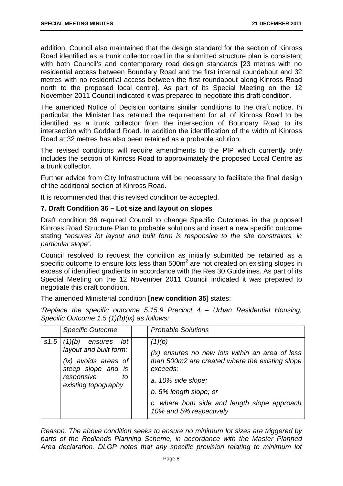addition, Council also maintained that the design standard for the section of Kinross Road identified as a trunk collector road in the submitted structure plan is consistent with both Council's and contemporary road design standards [23 metres with no residential access between Boundary Road and the first internal roundabout and 32 metres with no residential access between the first roundabout along Kinross Road north to the proposed local centre]. As part of its Special Meeting on the 12 November 2011 Council indicated it was prepared to negotiate this draft condition.

The amended Notice of Decision contains similar conditions to the draft notice. In particular the Minister has retained the requirement for all of Kinross Road to be identified as a trunk collector from the intersection of Boundary Road to its intersection with Goddard Road. In addition the identification of the width of Kinross Road at 32 metres has also been retained as a probable solution.

The revised conditions will require amendments to the PIP which currently only includes the section of Kinross Road to approximately the proposed Local Centre as a trunk collector.

Further advice from City Infrastructure will be necessary to facilitate the final design of the additional section of Kinross Road.

It is recommended that this revised condition be accepted.

#### **7. Draft Condition 36 – Lot size and layout on slopes**

Draft condition 36 required Council to change Specific Outcomes in the proposed Kinross Road Structure Plan to probable solutions and insert a new specific outcome stating *"ensures lot layout and built form is responsive to the site constraints, in particular slope".*

Council resolved to request the condition as initially submitted be retained as a specific outcome to ensure lots less than  $500m<sup>2</sup>$  are not created on existing slopes in excess of identified gradients in accordance with the Res 30 Guidelines. As part of its Special Meeting on the 12 November 2011 Council indicated it was prepared to negotiate this draft condition.

The amended Ministerial condition **[new condition 35]** states:

*'Replace the specific outcome 5.15.9 Precinct 4 – Urban Residential Housing, Specific Outcome 1.5 (1)(b)(ix) as follows:*

| <b>Specific Outcome</b>                                                                                                                            | <b>Probable Solutions</b>                                                                                                                                                                                                                           |
|----------------------------------------------------------------------------------------------------------------------------------------------------|-----------------------------------------------------------------------------------------------------------------------------------------------------------------------------------------------------------------------------------------------------|
| $s1.5$ (1)(b)<br>lot<br>ensures<br>layout and built form:<br>(ix) avoids areas of<br>steep slope and is<br>responsive<br>to<br>existing topography | (1)(b)<br>(ix) ensures no new lots within an area of less<br>than 500m2 are created where the existing slope<br>exceeds:<br>a. 10% side slope;<br>b. 5% length slope; or<br>c. where both side and length slope approach<br>10% and 5% respectively |

*Reason: The above condition seeks to ensure no minimum lot sizes are triggered by parts of the Redlands Planning Scheme, in accordance with the Master Planned Area declaration. DLGP notes that any specific provision relating to minimum lot*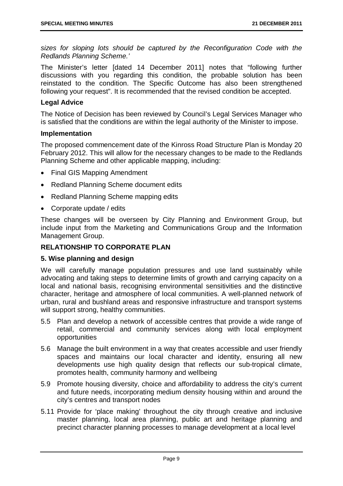*sizes for sloping lots should be captured by the Reconfiguration Code with the Redlands Planning Scheme.'*

The Minister's letter [dated 14 December 2011] notes that "following further discussions with you regarding this condition, the probable solution has been reinstated to the condition. The Specific Outcome has also been strengthened following your request". It is recommended that the revised condition be accepted.

#### **Legal Advice**

The Notice of Decision has been reviewed by Council's Legal Services Manager who is satisfied that the conditions are within the legal authority of the Minister to impose.

#### **Implementation**

The proposed commencement date of the Kinross Road Structure Plan is Monday 20 February 2012. This will allow for the necessary changes to be made to the Redlands Planning Scheme and other applicable mapping, including:

- Final GIS Mapping Amendment
- Redland Planning Scheme document edits
- Redland Planning Scheme mapping edits
- Corporate update / edits

These changes will be overseen by City Planning and Environment Group, but include input from the Marketing and Communications Group and the Information Management Group.

#### **RELATIONSHIP TO CORPORATE PLAN**

#### **5. Wise planning and design**

We will carefully manage population pressures and use land sustainably while advocating and taking steps to determine limits of growth and carrying capacity on a local and national basis, recognising environmental sensitivities and the distinctive character, heritage and atmosphere of local communities. A well-planned network of urban, rural and bushland areas and responsive infrastructure and transport systems will support strong, healthy communities.

- 5.5 Plan and develop a network of accessible centres that provide a wide range of retail, commercial and community services along with local employment opportunities
- 5.6 Manage the built environment in a way that creates accessible and user friendly spaces and maintains our local character and identity, ensuring all new developments use high quality design that reflects our sub-tropical climate, promotes health, community harmony and wellbeing
- 5.9 Promote housing diversity, choice and affordability to address the city's current and future needs, incorporating medium density housing within and around the city's centres and transport nodes
- 5.11 Provide for 'place making' throughout the city through creative and inclusive master planning, local area planning, public art and heritage planning and precinct character planning processes to manage development at a local level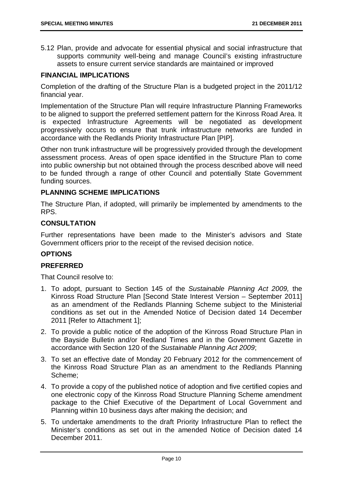5.12 Plan, provide and advocate for essential physical and social infrastructure that supports community well-being and manage Council's existing infrastructure assets to ensure current service standards are maintained or improved

#### **FINANCIAL IMPLICATIONS**

Completion of the drafting of the Structure Plan is a budgeted project in the 2011/12 financial year.

Implementation of the Structure Plan will require Infrastructure Planning Frameworks to be aligned to support the preferred settlement pattern for the Kinross Road Area. It is expected Infrastructure Agreements will be negotiated as development progressively occurs to ensure that trunk infrastructure networks are funded in accordance with the Redlands Priority Infrastructure Plan [PIP].

Other non trunk infrastructure will be progressively provided through the development assessment process. Areas of open space identified in the Structure Plan to come into public ownership but not obtained through the process described above will need to be funded through a range of other Council and potentially State Government funding sources.

#### **PLANNING SCHEME IMPLICATIONS**

The Structure Plan, if adopted, will primarily be implemented by amendments to the RPS.

#### **CONSULTATION**

Further representations have been made to the Minister's advisors and State Government officers prior to the receipt of the revised decision notice.

#### **OPTIONS**

#### **PREFERRED**

That Council resolve to:

- 1. To adopt, pursuant to Section 145 of the *Sustainable Planning Act 2009,* the Kinross Road Structure Plan [Second State Interest Version – September 2011] as an amendment of the Redlands Planning Scheme subject to the Ministerial conditions as set out in the Amended Notice of Decision dated 14 December 2011 [Refer to Attachment 1];
- 2. To provide a public notice of the adoption of the Kinross Road Structure Plan in the Bayside Bulletin and/or Redland Times and in the Government Gazette in accordance with Section 120 of the *Sustainable Planning Act 2009*;
- 3. To set an effective date of Monday 20 February 2012 for the commencement of the Kinross Road Structure Plan as an amendment to the Redlands Planning Scheme;
- 4. To provide a copy of the published notice of adoption and five certified copies and one electronic copy of the Kinross Road Structure Planning Scheme amendment package to the Chief Executive of the Department of Local Government and Planning within 10 business days after making the decision; and
- 5. To undertake amendments to the draft Priority Infrastructure Plan to reflect the Minister's conditions as set out in the amended Notice of Decision dated 14 December 2011.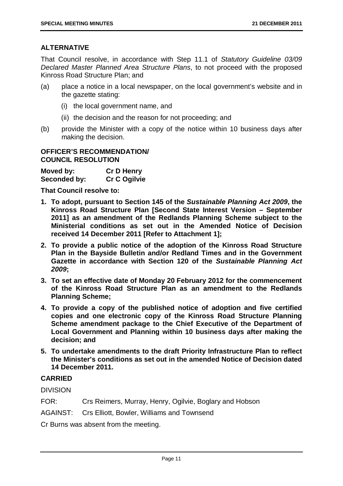#### **ALTERNATIVE**

That Council resolve, in accordance with Step 11.1 of *Statutory Guideline 03/09 Declared Master Planned Area Structure Plans*, to not proceed with the proposed Kinross Road Structure Plan; and

- (a) place a notice in a local newspaper, on the local government's website and in the gazette stating:
	- (i) the local government name, and
	- (ii) the decision and the reason for not proceeding; and
- (b) provide the Minister with a copy of the notice within 10 business days after making the decision.

#### **OFFICER'S RECOMMENDATION/ COUNCIL RESOLUTION**

| Moved by:    | <b>Cr D Henry</b> |
|--------------|-------------------|
| Seconded by: | Cr C Ogilvie      |

**That Council resolve to:**

- **1. To adopt, pursuant to Section 145 of the** *Sustainable Planning Act 2009***, the Kinross Road Structure Plan [Second State Interest Version – September 2011] as an amendment of the Redlands Planning Scheme subject to the Ministerial conditions as set out in the Amended Notice of Decision received 14 December 2011 [Refer to Attachment 1];**
- **2. To provide a public notice of the adoption of the Kinross Road Structure Plan in the Bayside Bulletin and/or Redland Times and in the Government Gazette in accordance with Section 120 of the** *Sustainable Planning Act 2009***;**
- **3. To set an effective date of Monday 20 February 2012 for the commencement of the Kinross Road Structure Plan as an amendment to the Redlands Planning Scheme;**
- **4. To provide a copy of the published notice of adoption and five certified copies and one electronic copy of the Kinross Road Structure Planning Scheme amendment package to the Chief Executive of the Department of Local Government and Planning within 10 business days after making the decision; and**
- **5. To undertake amendments to the draft Priority Infrastructure Plan to reflect the Minister's conditions as set out in the amended Notice of Decision dated 14 December 2011.**

#### **CARRIED**

DIVISION

- FOR: Crs Reimers, Murray, Henry, Ogilvie, Boglary and Hobson
- AGAINST: Crs Elliott, Bowler, Williams and Townsend

Cr Burns was absent from the meeting.